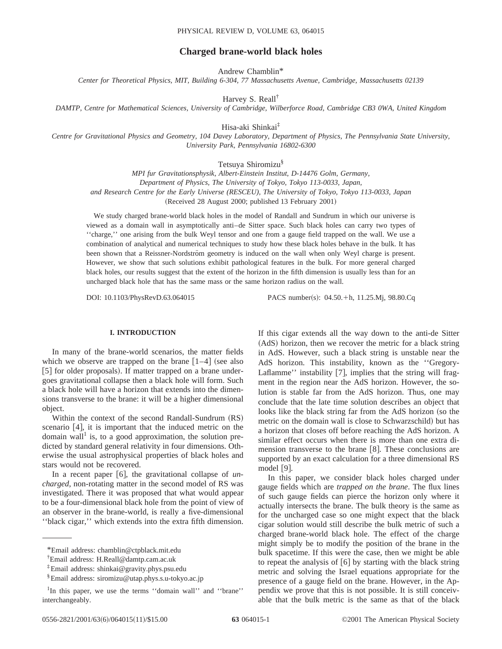# **Charged brane-world black holes**

Andrew Chamblin\*

*Center for Theoretical Physics, MIT, Building 6-304, 77 Massachusetts Avenue, Cambridge, Massachusetts 02139*

Harvey S. Reall†

*DAMTP, Centre for Mathematical Sciences, University of Cambridge, Wilberforce Road, Cambridge CB3 0WA, United Kingdom*

Hisa-aki Shinkai‡

*Centre for Gravitational Physics and Geometry, 104 Davey Laboratory, Department of Physics, The Pennsylvania State University, University Park, Pennsylvania 16802-6300*

Tetsuya Shiromizu§

*MPI fur Gravitationsphysik, Albert-Einstein Institut, D-14476 Golm, Germany, Department of Physics, The University of Tokyo, Tokyo 113-0033, Japan, and Research Centre for the Early Universe (RESCEU), The University of Tokyo, Tokyo 113-0033, Japan* (Received 28 August 2000; published 13 February 2001)

We study charged brane-world black holes in the model of Randall and Sundrum in which our universe is viewed as a domain wall in asymptotically anti–de Sitter space. Such black holes can carry two types of ''charge,'' one arising from the bulk Weyl tensor and one from a gauge field trapped on the wall. We use a combination of analytical and numerical techniques to study how these black holes behave in the bulk. It has been shown that a Reissner-Nordström geometry is induced on the wall when only Weyl charge is present. However, we show that such solutions exhibit pathological features in the bulk. For more general charged black holes, our results suggest that the extent of the horizon in the fifth dimension is usually less than for an uncharged black hole that has the same mass or the same horizon radius on the wall.

DOI: 10.1103/PhysRevD.63.064015 PACS number(s): 04.50.+h, 11.25.Mj, 98.80.Cq

# **I. INTRODUCTION**

In many of the brane-world scenarios, the matter fields which we observe are trapped on the brane  $\lceil 1-4 \rceil$  (see also [5] for older proposals). If matter trapped on a brane undergoes gravitational collapse then a black hole will form. Such a black hole will have a horizon that extends into the dimensions transverse to the brane: it will be a higher dimensional object.

Within the context of the second Randall-Sundrum  $(RS)$ scenario  $[4]$ , it is important that the induced metric on the domain wall<sup>1</sup> is, to a good approximation, the solution predicted by standard general relativity in four dimensions. Otherwise the usual astrophysical properties of black holes and stars would not be recovered.

In a recent paper [6], the gravitational collapse of *uncharged*, non-rotating matter in the second model of RS was investigated. There it was proposed that what would appear to be a four-dimensional black hole from the point of view of an observer in the brane-world, is really a five-dimensional ''black cigar,'' which extends into the extra fifth dimension.

If this cigar extends all the way down to the anti-de Sitter (AdS) horizon, then we recover the metric for a black string in AdS. However, such a black string is unstable near the AdS horizon. This instability, known as the ''Gregory-Laflamme'' instability  $[7]$ , implies that the string will fragment in the region near the AdS horizon. However, the solution is stable far from the AdS horizon. Thus, one may conclude that the late time solution describes an object that looks like the black string far from the AdS horizon (so the metric on the domain wall is close to Schwarzschild) but has a horizon that closes off before reaching the AdS horizon. A similar effect occurs when there is more than one extra dimension transverse to the brane  $[8]$ . These conclusions are supported by an exact calculation for a three dimensional RS model  $[9]$ .

In this paper, we consider black holes charged under gauge fields which are *trapped on the brane*. The flux lines of such gauge fields can pierce the horizon only where it actually intersects the brane. The bulk theory is the same as for the uncharged case so one might expect that the black cigar solution would still describe the bulk metric of such a charged brane-world black hole. The effect of the charge might simply be to modify the position of the brane in the bulk spacetime. If this were the case, then we might be able to repeat the analysis of  $\lceil 6 \rceil$  by starting with the black string metric and solving the Israel equations appropriate for the presence of a gauge field on the brane. However, in the Appendix we prove that this is not possible. It is still conceivable that the bulk metric is the same as that of the black

<sup>\*</sup>Email address: chamblin@ctpblack.mit.edu

<sup>†</sup> Email address: H.Reall@damtp.cam.ac.uk

<sup>‡</sup>Email address: shinkai@gravity.phys.psu.edu

<sup>§</sup>Email address: siromizu@utap.phys.s.u-tokyo.ac.jp

<sup>&</sup>lt;sup>1</sup>In this paper, we use the terms "domain wall" and "brane" interchangeably.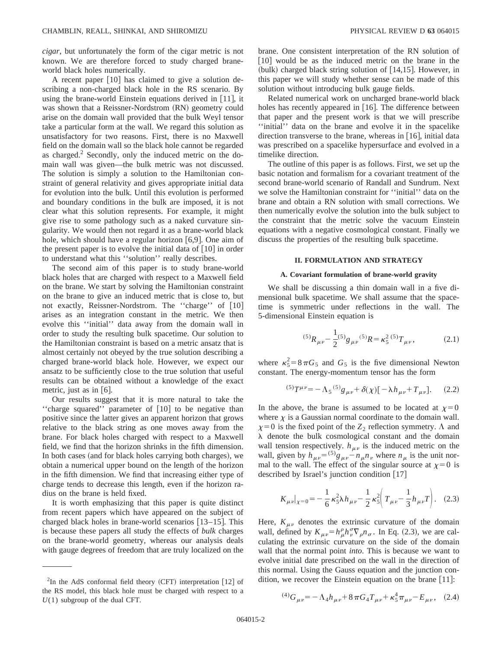*cigar*, but unfortunately the form of the cigar metric is not known. We are therefore forced to study charged braneworld black holes numerically.

A recent paper  $\lceil 10 \rceil$  has claimed to give a solution describing a non-charged black hole in the RS scenario. By using the brane-world Einstein equations derived in  $[11]$ , it was shown that a Reissner-Nordstrom (RN) geometry could arise on the domain wall provided that the bulk Weyl tensor take a particular form at the wall. We regard this solution as unsatisfactory for two reasons. First, there is no Maxwell field on the domain wall so the black hole cannot be regarded as charged. $<sup>2</sup>$  Secondly, only the induced metric on the do-</sup> main wall was given—the bulk metric was not discussed. The solution is simply a solution to the Hamiltonian constraint of general relativity and gives appropriate initial data for evolution into the bulk. Until this evolution is performed and boundary conditions in the bulk are imposed, it is not clear what this solution represents. For example, it might give rise to some pathology such as a naked curvature singularity. We would then not regard it as a brane-world black hole, which should have a regular horizon  $[6,9]$ . One aim of the present paper is to evolve the initial data of  $[10]$  in order to understand what this ''solution'' really describes.

The second aim of this paper is to study brane-world black holes that are charged with respect to a Maxwell field on the brane. We start by solving the Hamiltonian constraint on the brane to give an induced metric that is close to, but not exactly, Reissner-Nordstrom. The "charge" of [10] arises as an integration constant in the metric. We then evolve this ''initial'' data away from the domain wall in order to study the resulting bulk spacetime. Our solution to the Hamiltonian constraint is based on a metric ansatz that is almost certainly not obeyed by the true solution describing a charged brane-world black hole. However, we expect our ansatz to be sufficiently close to the true solution that useful results can be obtained without a knowledge of the exact metric, just as in  $[6]$ .

Our results suggest that it is more natural to take the "charge squared" parameter of [10] to be negative than positive since the latter gives an apparent horizon that grows relative to the black string as one moves away from the brane. For black holes charged with respect to a Maxwell field, we find that the horizon shrinks in the fifth dimension. In both cases (and for black holes carrying both charges), we obtain a numerical upper bound on the length of the horizon in the fifth dimension. We find that increasing either type of charge tends to decrease this length, even if the horizon radius on the brane is held fixed.

It is worth emphasizing that this paper is quite distinct from recent papers which have appeared on the subject of charged black holes in brane-world scenarios  $[13-15]$ . This is because these papers all study the effects of *bulk* charges on the brane-world geometry, whereas our analysis deals with gauge degrees of freedom that are truly localized on the brane. One consistent interpretation of the RN solution of [10] would be as the induced metric on the brane in the  $(bulk)$  charged black string solution of [14,15]. However, in this paper we will study whether sense can be made of this solution without introducing bulk gauge fields.

Related numerical work on uncharged brane-world black holes has recently appeared in  $[16]$ . The difference between that paper and the present work is that we will prescribe ''initial'' data on the brane and evolve it in the spacelike direction transverse to the brane, whereas in  $[16]$ , initial data was prescribed on a spacelike hypersurface and evolved in a timelike direction.

The outline of this paper is as follows. First, we set up the basic notation and formalism for a covariant treatment of the second brane-world scenario of Randall and Sundrum. Next we solve the Hamiltonian constraint for ''initial'' data on the brane and obtain a RN solution with small corrections. We then numerically evolve the solution into the bulk subject to the constraint that the metric solve the vacuum Einstein equations with a negative cosmological constant. Finally we discuss the properties of the resulting bulk spacetime.

## **II. FORMULATION AND STRATEGY**

## **A. Covariant formulation of brane-world gravity**

We shall be discussing a thin domain wall in a five dimensional bulk spacetime. We shall assume that the spacetime is symmetric under reflections in the wall. The 5-dimensional Einstein equation is

$$
^{(5)}R_{\mu\nu} - \frac{1}{2}^{(5)}g_{\mu\nu}{}^{(5)}R = \kappa_5^2{}^{(5)}T_{\mu\nu},
$$
 (2.1)

where  $\kappa_5^2 = 8 \pi G_5$  and  $G_5$  is the five dimensional Newton constant. The energy-momentum tensor has the form

$$
{}^{(5)}T^{\mu\nu} = -\Lambda_5 {}^{(5)}g_{\mu\nu} + \delta(\chi) [-\lambda h_{\mu\nu} + T_{\mu\nu}].
$$
 (2.2)

In the above, the brane is assumed to be located at  $\chi=0$ where  $\chi$  is a Gaussian normal coordinate to the domain wall.  $\chi=0$  is the fixed point of the  $Z_2$  reflection symmetry.  $\Lambda$  and  $\lambda$  denote the bulk cosmological constant and the domain wall tension respectively.  $h_{\mu\nu}$  is the induced metric on the wall, given by  $h_{\mu\nu} = \frac{(5)}{g_{\mu\nu} - n_{\mu}n_{\nu}}$  where  $n_{\mu}$  is the unit normal to the wall. The effect of the singular source at  $\chi=0$  is described by Israel's junction condition  $[17]$ 

$$
K_{\mu\nu}|_{\chi=0} = -\frac{1}{6}\kappa_5^2\lambda h_{\mu\nu} - \frac{1}{2}\kappa_5^2\left(T_{\mu\nu} - \frac{1}{3}h_{\mu\nu}T\right).
$$
 (2.3)

Here,  $K_{\mu\nu}$  denotes the extrinsic curvature of the domain wall, defined by  $K_{\mu\nu} = h^{\rho}_{\mu} h^{\sigma}_{\nu} \nabla_{\rho} n_{\sigma}$ . In Eq. (2.3), we are calculating the extrinsic curvature on the side of the domain wall that the normal point *into*. This is because we want to evolve initial date prescribed on the wall in the direction of this normal. Using the Gauss equation and the junction condition, we recover the Einstein equation on the brane  $[11]$ :

$$
^{(4)}G_{\mu\nu} = -\Lambda_4 h_{\mu\nu} + 8\pi G_4 T_{\mu\nu} + \kappa_5^4 \pi_{\mu\nu} - E_{\mu\nu}, \quad (2.4)
$$

 ${}^{2}$ In the AdS conformal field theory (CFT) interpretation [12] of the RS model, this black hole must be charged with respect to a *U*(1) subgroup of the dual CFT.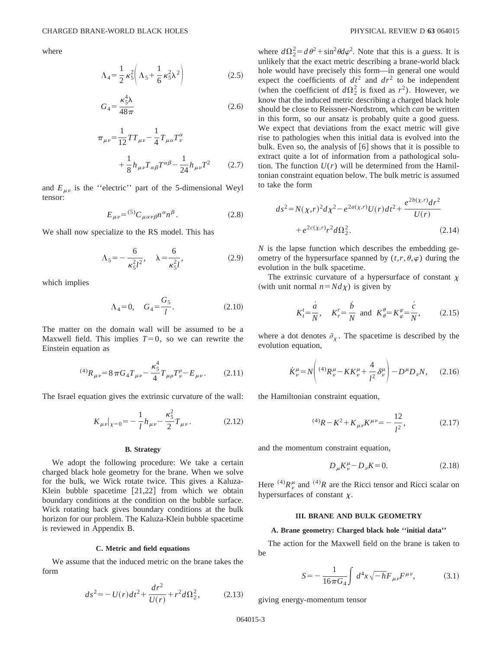where

$$
\Lambda_4 = \frac{1}{2} \kappa_5^2 \left( \Lambda_5 + \frac{1}{6} \kappa_5^2 \lambda^2 \right) \tag{2.5}
$$

$$
G_4 = \frac{\kappa_5^4 \lambda}{48\pi} \tag{2.6}
$$

$$
\pi_{\mu\nu} = \frac{1}{12} T T_{\mu\nu} - \frac{1}{4} T_{\mu\alpha} T^{\alpha}_{\nu} + \frac{1}{8} h_{\mu\nu} T_{\alpha\beta} T^{\alpha\beta} - \frac{1}{24} h_{\mu\nu} T^2 \qquad (2.7)
$$

and  $E_{\mu\nu}$  is the "electric" part of the 5-dimensional Weyl tensor:

$$
E_{\mu\nu} = {}^{(5)}C_{\mu\alpha\nu\beta}n^{\alpha}n^{\beta}.
$$
 (2.8)

We shall now specialize to the RS model. This has

$$
\Lambda_5 = -\frac{6}{\kappa_5^2 l^2}, \quad \lambda = \frac{6}{\kappa_5^2 l}, \tag{2.9}
$$

which implies

$$
\Lambda_4 = 0, \quad G_4 = \frac{G_5}{l}.\tag{2.10}
$$

The matter on the domain wall will be assumed to be a Maxwell field. This implies  $T=0$ , so we can rewrite the Einstein equation as

$$
^{(4)}R_{\mu\nu} = 8\pi G_4 T_{\mu\nu} - \frac{\kappa_5^4}{4} T_{\mu\rho} T_{\nu}^{\rho} - E_{\mu\nu}.
$$
 (2.11)

The Israel equation gives the extrinsic curvature of the wall:

$$
K_{\mu\nu}|_{\chi=0} = -\frac{1}{l}h_{\mu\nu} - \frac{\kappa_5^2}{2}T_{\mu\nu}.
$$
 (2.12)

### **B. Strategy**

We adopt the following procedure: We take a certain charged black hole geometry for the brane. When we solve for the bulk, we Wick rotate twice. This gives a Kaluza-Klein bubble spacetime  $[21,22]$  from which we obtain boundary conditions at the condition on the bubble surface. Wick rotating back gives boundary conditions at the bulk horizon for our problem. The Kaluza-Klein bubble spacetime is reviewed in Appendix B.

#### **C. Metric and field equations**

We assume that the induced metric on the brane takes the form

$$
ds^{2} = -U(r)dt^{2} + \frac{dr^{2}}{U(r)} + r^{2}d\Omega_{2}^{2},
$$
 (2.13)

where  $d\Omega_2^2 = d\theta^2 + \sin^2\theta d\varphi^2$ . Note that this is a *guess*. It is unlikely that the exact metric describing a brane-world black hole would have precisely this form—in general one would expect the coefficients of  $dt^2$  and  $dr^2$  to be independent (when the coefficient of  $d\Omega_2^2$  is fixed as  $r^2$ ). However, we know that the induced metric describing a charged black hole should be close to Reissner-Nordstrom, which *can* be written in this form, so our ansatz is probably quite a good guess. We expect that deviations from the exact metric will give rise to pathologies when this initial data is evolved into the bulk. Even so, the analysis of  $\lceil 6 \rceil$  shows that it is possible to extract quite a lot of information from a pathological solution. The function  $U(r)$  will be determined from the Hamiltonian constraint equation below. The bulk metric is assumed to take the form

$$
ds^{2} = N(\chi,r)^{2}d\chi^{2} - e^{2a(\chi,r)}U(r)dt^{2} + \frac{e^{2b(\chi,r)}dr^{2}}{U(r)}
$$
  
+  $e^{2c(\chi,r)}r^{2}d\Omega_{2}^{2}$ . (2.14)

*N* is the lapse function which describes the embedding geometry of the hypersurface spanned by  $(t, r, \theta, \varphi)$  during the evolution in the bulk spacetime.

The extrinsic curvature of a hypersurface of constant  $\chi$ (with unit normal  $n = N d\chi$ ) is given by

$$
K_t^t = \frac{\dot{a}}{N}
$$
,  $K_r^r = \frac{\dot{b}}{N}$  and  $K_\theta^\theta = K_\varphi^\varphi = \frac{\dot{c}}{N}$ , (2.15)

where a dot denotes  $\partial_{x}$ . The spacetime is described by the evolution equation,

$$
\dot{K}^{\mu}_{\nu} = N \left( {}^{(4)}R^{\mu}_{\nu} - KK^{\mu}_{\nu} + \frac{4}{l^2} \delta^{\mu}_{\nu} \right) - D^{\mu}D_{\nu}N, \quad (2.16)
$$

the Hamiltonian constraint equation,

$$
^{(4)}R - K^2 + K_{\mu\nu}K^{\mu\nu} = -\frac{12}{l^2}, \qquad (2.17)
$$

and the momentum constraint equation,

$$
D_{\mu}K^{\mu}_{\nu} - D_{\nu}K = 0. \tag{2.18}
$$

Here <sup>(4)</sup> $R_v^{\mu}$  and <sup>(4)</sup>R are the Ricci tensor and Ricci scalar on hypersurfaces of constant  $\chi$ .

### **III. BRANE AND BULK GEOMETRY**

### **A. Brane geometry: Charged black hole ''initial data''**

The action for the Maxwell field on the brane is taken to be

$$
S = -\frac{1}{16\pi G_4} \int d^4x \sqrt{-h} F_{\mu\nu} F^{\mu\nu}, \tag{3.1}
$$

giving energy-momentum tensor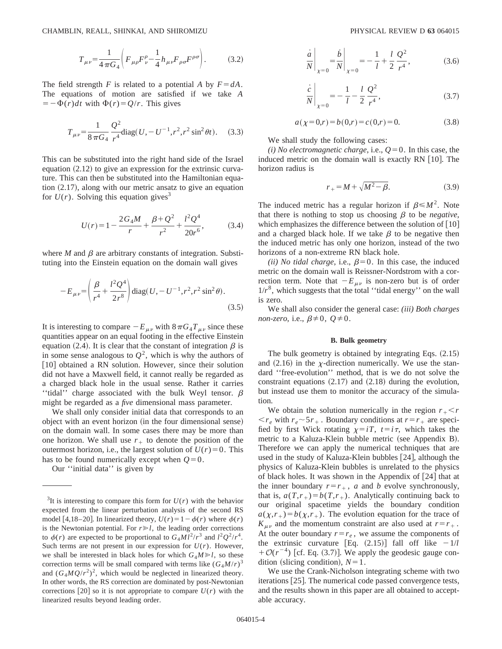CHAMBLIN, REALL, SHINKAI, AND SHIROMIZU PHYSICAL REVIEW D **63** 064015

$$
T_{\mu\nu} = \frac{1}{4\pi G_4} \left( F_{\mu\rho} F^{\rho}_{\nu} - \frac{1}{4} h_{\mu\nu} F_{\rho\sigma} F^{\rho\sigma} \right). \tag{3.2}
$$

The field strength *F* is related to a potential *A* by  $F = dA$ . The equations of motion are satisfied if we take *A*  $=$   $-\Phi(r)dt$  with  $\Phi(r) = Q/r$ . This gives

$$
T_{\mu\nu} = \frac{1}{8\pi G_4} \frac{Q^2}{r^4} \text{diag}(U, -U^{-1}, r^2, r^2 \sin^2 \theta t). \quad (3.3)
$$

This can be substituted into the right hand side of the Israel equation  $(2.12)$  to give an expression for the extrinsic curvature. This can then be substituted into the Hamiltonian equation  $(2.17)$ , along with our metric ansatz to give an equation for  $U(r)$ . Solving this equation gives<sup>3</sup>

$$
U(r) = 1 - \frac{2G_4M}{r} + \frac{\beta + Q^2}{r^2} + \frac{l^2Q^4}{20r^6},
$$
 (3.4)

where  $M$  and  $\beta$  are arbitrary constants of integration. Substituting into the Einstein equation on the domain wall gives

$$
-E_{\mu\nu} = \left(\frac{\beta}{r^4} + \frac{l^2 Q^4}{2r^8}\right) \text{diag}(U, -U^{-1}, r^2, r^2 \sin^2 \theta).
$$
\n(3.5)

It is interesting to compare  $-E_{\mu\nu}$  with  $8\pi G_4T_{\mu\nu}$  since these quantities appear on an equal footing in the effective Einstein equation (2.4). It is clear that the constant of integration  $\beta$  is in some sense analogous to  $Q^2$ , which is why the authors of [10] obtained a RN solution. However, since their solution did not have a Maxwell field, it cannot really be regarded as a charged black hole in the usual sense. Rather it carries "tidal" charge associated with the bulk Weyl tensor.  $\beta$ might be regarded as a *five* dimensional mass parameter.

We shall only consider initial data that corresponds to an object with an event horizon (in the four dimensional sense) on the domain wall. In some cases there may be more than one horizon. We shall use  $r_{+}$  to denote the position of the outermost horizon, i.e., the largest solution of  $U(r) = 0$ . This has to be found numerically except when  $Q=0$ .

Our ''initial data'' is given by

$$
\frac{\dot{a}}{N}\bigg|_{\chi=0} = \frac{\dot{b}}{N}\bigg|_{\chi=0} = -\frac{1}{l} + \frac{l}{2} \frac{Q^2}{r^4},
$$
\n(3.6)

$$
\left. \frac{\dot{c}}{N} \right|_{\chi=0} = -\frac{1}{l} - \frac{l}{2} \frac{Q^2}{r^4},\tag{3.7}
$$

$$
a(\chi=0,r) = b(0,r) = c(0,r) = 0.
$$
 (3.8)

We shall study the following cases:

*(i) No electromagnetic charge*, i.e.,  $Q=0$ . In this case, the induced metric on the domain wall is exactly  $RN$  [10]. The horizon radius is

$$
r_{+} = M + \sqrt{M^2 - \beta}.
$$
 (3.9)

The induced metric has a regular horizon if  $\beta \le M^2$ . Note that there is nothing to stop us choosing  $\beta$  to be *negative*, which emphasizes the difference between the solution of  $[10]$ and a charged black hole. If we take  $\beta$  to be negative then the induced metric has only one horizon, instead of the two horizons of a non-extreme RN black hole.

*(ii) No tidal charge, i.e.,*  $\beta = 0$ *. In this case, the induced* metric on the domain wall is Reissner-Nordstrom with a correction term. Note that  $-E_{\mu\nu}$  is non-zero but is of order  $1/r<sup>8</sup>$ , which suggests that the total "tidal energy" on the wall is zero.

We shall also consider the general case: *(iii) Both charges non-zero*, i.e.,  $\beta \neq 0$ ,  $Q \neq 0$ .

#### **B. Bulk geometry**

The bulk geometry is obtained by integrating Eqs.  $(2.15)$ and  $(2.16)$  in the *x*-direction numerically. We use the standard ''free-evolution'' method, that is we do not solve the constraint equations  $(2.17)$  and  $(2.18)$  during the evolution, but instead use them to monitor the accuracy of the simulation.

We obtain the solution numerically in the region  $r_{+}$   $\lt$  *r*  $\langle r_e \rangle$  with  $r_e \sim 5r_+$ . Boundary conditions at  $r = r_+$  are specified by first Wick rotating  $\chi=iT$ ,  $t=i\tau$ , which takes the metric to a Kaluza-Klein bubble metric (see Appendix B). Therefore we can apply the numerical techniques that are used in the study of Kaluza-Klein bubbles  $[24]$ , although the physics of Kaluza-Klein bubbles is unrelated to the physics of black holes. It was shown in the Appendix of  $[24]$  that at the inner boundary  $r=r_+$ , *a* and *b* evolve synchronously, that is,  $a(T,r_+) = b(T,r_+)$ . Analytically continuing back to our original spacetime yields the boundary condition  $a(\chi, r_+) = b(\chi, r_+)$ . The evolution equation for the trace of  $K_{\mu\nu}$  and the momentum constraint are also used at  $r=r_+$ . At the outer boundary  $r=r_e$ , we assume the components of the extrinsic curvature [Eq.  $(2.15)$ ] fall off like  $-1/l$  $+O(r^{-4})$  [cf. Eq. (3.7)]. We apply the geodesic gauge condition (slicing condition),  $N=1$ .

We use the Crank-Nicholson integrating scheme with two iterations  $[25]$ . The numerical code passed convergence tests, and the results shown in this paper are all obtained to acceptable accuracy.

<sup>&</sup>lt;sup>3</sup>It is interesting to compare this form for  $U(r)$  with the behavior expected from the linear perturbation analysis of the second RS model [4,18–20]. In linearized theory,  $U(r) = 1 - \phi(r)$  where  $\phi(r)$ is the Newtonian potential. For  $r \ge l$ , the leading order corrections to  $\phi(r)$  are expected to be proportional to  $G_4 M l^2/r^3$  and  $l^2 Q^2/r^4$ . Such terms are not present in our expression for  $U(r)$ . However, we shall be interested in black holes for which  $G_4M \ge l$ , so these correction terms will be small compared with terms like  $(G<sub>4</sub>M/r)<sup>3</sup>$ and  $(G_4MQ/r^2)^2$ , which would be neglected in linearized theory. In other words, the RS correction are dominated by post-Newtonian corrections [20] so it is not appropriate to compare  $U(r)$  with the linearized results beyond leading order.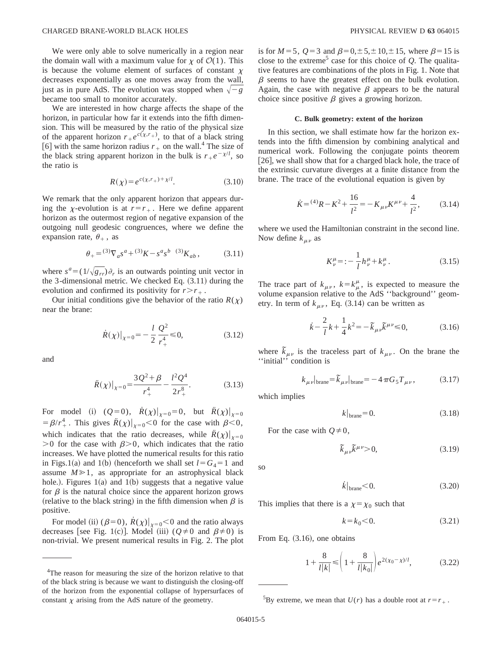We were only able to solve numerically in a region near the domain wall with a maximum value for  $\chi$  of  $\mathcal{O}(1)$ . This is because the volume element of surfaces of constant  $\chi$ decreases exponentially as one moves away from the wall, just as in pure AdS. The evolution was stopped when  $\sqrt{-g}$ became too small to monitor accurately.

We are interested in how charge affects the shape of the horizon, in particular how far it extends into the fifth dimension. This will be measured by the ratio of the physical size of the apparent horizon  $r_+e^{c(\chi,r_+)}$ , to that of a black string [6] with the same horizon radius  $r_+$  on the wall.<sup>4</sup> The size of the black string apparent horizon in the bulk is  $r_+e^{-\chi/l}$ , so the ratio is

$$
R(\chi) = e^{c(\chi, r_+) + \chi/l}.\tag{3.10}
$$

We remark that the only apparent horizon that appears during the *x*-evolution is at  $r=r_{+}$ . Here we define apparent horizon as the outermost region of negative expansion of the outgoing null geodesic congruences, where we define the expansion rate,  $\theta_+$ , as

$$
\theta_{+} = {}^{(3)}\nabla_a s^a + {}^{(3)}K - s^a s^b \t{3} K_{ab} ,
$$
 (3.11)

where  $s^a = (1/\sqrt{g_{rr}})\partial_r$  is an outwards pointing unit vector in the 3-dimensional metric. We checked Eq.  $(3.11)$  during the evolution and confirmed its positivity for  $r > r<sub>+</sub>$ .

Our initial conditions give the behavior of the ratio  $R(\chi)$ near the brane:

$$
\dot{R}(\chi)|_{\chi=0} = -\frac{l}{2} \frac{Q^2}{r_+^4} \le 0,
$$
\n(3.12)

and

$$
\ddot{R}(\chi)|_{\chi=0} = \frac{3Q^2 + \beta}{r_+^4} - \frac{l^2 Q^4}{2r_+^8}.
$$
 (3.13)

For model (i)  $(Q=0)$ ,  $\dot{R}(\chi)|_{\chi=0}=0$ , but  $\dot{R}(\chi)|_{\chi=0}$  $= \beta/r_+^4$ . This gives  $\ddot{R}(\chi)|_{\chi=0} < 0$  for the case with  $\beta < 0$ , which indicates that the ratio decreases, while  $\ddot{R}(\chi)|_{\chi=0}$  $>0$  for the case with  $\beta$  $>0$ , which indicates that the ratio increases. We have plotted the numerical results for this ratio in Figs.1(a) and 1(b) (henceforth we shall set  $l = G_4 = 1$  and assume  $M \ge 1$ , as appropriate for an astrophysical black hole.). Figures  $1(a)$  and  $1(b)$  suggests that a negative value for  $\beta$  is the natural choice since the apparent horizon grows (relative to the black string) in the fifth dimension when  $\beta$  is positive.

For model (ii)  $(\beta=0)$ ,  $\dot{R}(\chi)|_{\chi=0}$  < 0 and the ratio always decreases [see Fig. 1(c)]. Model (iii) ( $Q \neq 0$  and  $\beta \neq 0$ ) is non-trivial. We present numerical results in Fig. 2. The plot is for  $M=5$ ,  $Q=3$  and  $\beta=0,\pm 5,\pm 10,\pm 15$ , where  $\beta=15$  is close to the extreme<sup>5</sup> case for this choice of  $Q$ . The qualitative features are combinations of the plots in Fig. 1. Note that  $\beta$  seems to have the greatest effect on the bulk evolution. Again, the case with negative  $\beta$  appears to be the natural choice since positive  $\beta$  gives a growing horizon.

#### **C. Bulk geometry: extent of the horizon**

In this section, we shall estimate how far the horizon extends into the fifth dimension by combining analytical and numerical work. Following the conjugate points theorem  $[26]$ , we shall show that for a charged black hole, the trace of the extrinsic curvature diverges at a finite distance from the brane. The trace of the evolutional equation is given by

$$
\dot{K} = {}^{(4)}R - K^2 + \frac{16}{l^2} = -K_{\mu\nu}K^{\mu\nu} + \frac{4}{l^2},\tag{3.14}
$$

where we used the Hamiltonian constraint in the second line. Now define  $k_{\mu\nu}$  as

$$
K^{\mu}_{\nu} =: -\frac{1}{l} h^{\mu}_{\nu} + k^{\mu}_{\nu}.
$$
 (3.15)

The trace part of  $k_{\mu\nu}$ ,  $k = k_{\mu}^{\mu}$ , is expected to measure the volume expansion relative to the AdS ''background'' geometry. In term of  $k_{\mu\nu}$ , Eq. (3.14) can be written as

$$
\dot{k} - \frac{2}{l}k + \frac{1}{4}k^2 = -\tilde{k}_{\mu\nu}\tilde{k}^{\mu\nu} \le 0,
$$
 (3.16)

where  $\tilde{k}_{\mu\nu}$  is the traceless part of  $k_{\mu\nu}$ . On the brane the ''initial'' condition is

$$
k_{\mu\nu}|_{\text{brane}} = \tilde{k}_{\mu\nu}|_{\text{brane}} = -4\pi G_5 T_{\mu\nu},\qquad(3.17)
$$

which implies

$$
k|_{\text{brane}} = 0. \tag{3.18}
$$

For the case with  $Q\neq0$ ,

$$
\tilde{k}_{\mu\nu}\tilde{k}^{\mu\nu} > 0,\tag{3.19}
$$

so

$$
\dot{k}|_{\text{brane}} < 0. \tag{3.20}
$$

This implies that there is a  $\chi=\chi_0$  such that

$$
k = k_0 < 0. \tag{3.21}
$$

From Eq.  $(3.16)$ , one obtains

$$
1 + \frac{8}{l|k|} \leqslant \left(1 + \frac{8}{l|k_0|}\right) e^{2(\chi_0 - \chi)/l},\tag{3.22}
$$

<sup>&</sup>lt;sup>4</sup>The reason for measuring the size of the horizon relative to that of the black string is because we want to distinguish the closing-off of the horizon from the exponential collapse of hypersurfaces of constant  $\chi$  arising from the AdS nature of the geometry.

<sup>&</sup>lt;sup>5</sup>By extreme, we mean that  $U(r)$  has a double root at  $r=r_+$ .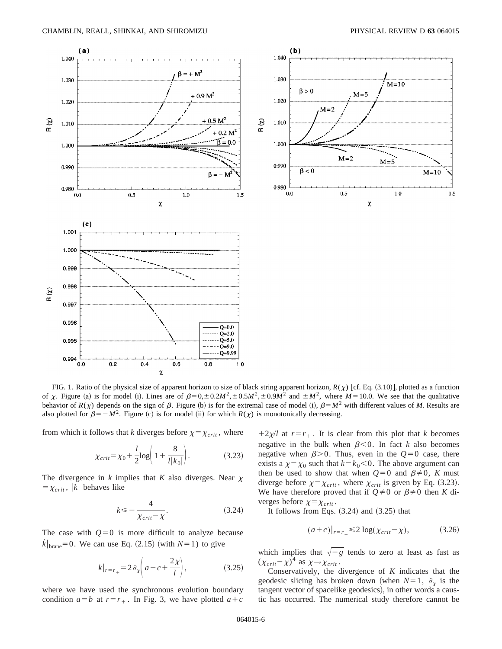

FIG. 1. Ratio of the physical size of apparent horizon to size of black string apparent horizon,  $R(\chi)$  [cf. Eq. (3.10)], plotted as a function of  $\chi$ . Figure (a) is for model (i). Lines are of  $\beta = 0, \pm 0.2M^2, \pm 0.5M^2, \pm 0.9M^2$  and  $\pm M^2$ , where  $M = 10.0$ . We see that the qualitative behavior of  $R(\chi)$  depends on the sign of  $\beta$ . Figure (b) is for the extremal case of model (i),  $\beta = M^2$  with different values of *M*. Results are also plotted for  $\beta = -M^2$ . Figure (c) is for model (ii) for which  $R(\chi)$  is monotonically decreasing.

from which it follows that *k* diverges before  $\chi = \chi_{crit}$ , where

$$
\chi_{crit} = \chi_0 + \frac{l}{2} \log \left( 1 + \frac{8}{l|k_0|} \right).
$$
 (3.23)

The divergence in  $k$  implies that  $K$  also diverges. Near  $\chi$  $=\chi_{crit}$ , |k| behaves like

$$
k \leq -\frac{4}{\chi_{\text{crit}} - \chi}.\tag{3.24}
$$

The case with  $Q=0$  is more difficult to analyze because  $\dot{k}|_{\text{brane}}=0$ . We can use Eq. (2.15) (with  $N=1$ ) to give

$$
k|_{r=r_+} = 2\partial_x \left( a + c + \frac{2\chi}{l} \right),\tag{3.25}
$$

where we have used the synchronous evolution boundary condition  $a=b$  at  $r=r_+$ . In Fig. 3, we have plotted  $a+c$ 

 $12x/l$  at  $r=r_+$ . It is clear from this plot that *k* becomes negative in the bulk when  $\beta$ <0. In fact *k* also becomes negative when  $\beta$ >0. Thus, even in the  $Q=0$  case, there exists a  $\chi = \chi_0$  such that  $k = k_0 < 0$ . The above argument can then be used to show that when  $Q=0$  and  $\beta\neq0$ , *K* must diverge before  $\chi = \chi_{crit}$ , where  $\chi_{crit}$  is given by Eq. (3.23). We have therefore proved that if  $Q \neq 0$  or  $\beta \neq 0$  then *K* diverges before  $\chi = \chi_{crit}$ .

It follows from Eqs.  $(3.24)$  and  $(3.25)$  that

$$
(a+c)|_{r=r_+} \le 2\log(\chi_{crit} - \chi),\tag{3.26}
$$

which implies that  $\sqrt{-g}$  tends to zero at least as fast as  $(\chi_{crit}-\chi)^4$  as  $\chi \rightarrow \chi_{crit}$ .

Conservatively, the divergence of *K* indicates that the geodesic slicing has broken down (when  $N=1$ ,  $\partial_y$  is the tangent vector of spacelike geodesics), in other words a caustic has occurred. The numerical study therefore cannot be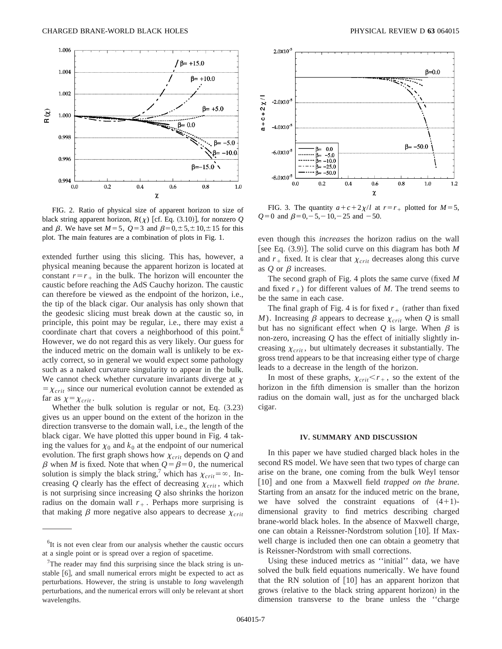

FIG. 2. Ratio of physical size of apparent horizon to size of black string apparent horizon,  $R(\chi)$  [cf. Eq. (3.10)], for nonzero *Q* and  $\beta$ . We have set  $M=5$ ,  $Q=3$  and  $\beta=0,\pm 5,\pm 10,\pm 15$  for this plot. The main features are a combination of plots in Fig. 1.

extended further using this slicing. This has, however, a physical meaning because the apparent horizon is located at constant  $r=r_+$  in the bulk. The horizon will encounter the caustic before reaching the AdS Cauchy horizon. The caustic can therefore be viewed as the endpoint of the horizon, i.e., the tip of the black cigar. Our analysis has only shown that the geodesic slicing must break down at the caustic so, in principle, this point may be regular, i.e., there may exist a coordinate chart that covers a neighborhood of this point.<sup>6</sup> However, we do not regard this as very likely. Our guess for the induced metric on the domain wall is unlikely to be exactly correct, so in general we would expect some pathology such as a naked curvature singularity to appear in the bulk. We cannot check whether curvature invariants diverge at  $\chi$  $=\chi_{crit}$  since our numerical evolution cannot be extended as far as  $\chi=\chi_{crit}$ .

Whether the bulk solution is regular or not, Eq.  $(3.23)$ gives us an upper bound on the extent of the horizon in the direction transverse to the domain wall, i.e., the length of the black cigar. We have plotted this upper bound in Fig. 4 taking the values for  $\chi_0$  and  $k_0$  at the endpoint of our numerical evolution. The first graph shows how  $\chi_{crit}$  depends on  $Q$  and  $\beta$  when *M* is fixed. Note that when  $Q = \beta = 0$ , the numerical solution is simply the black string,<sup>7</sup> which has  $\chi_{crit} = \infty$ . Increasing  $Q$  clearly has the effect of decreasing  $\chi_{crit}$ , which is not surprising since increasing *Q* also shrinks the horizon radius on the domain wall  $r_{+}$ . Perhaps more surprising is that making  $\beta$  more negative also appears to decrease  $\chi_{crit}$ 



FIG. 3. The quantity  $a+c+2\chi/l$  at  $r=r_+$  plotted for  $M=5$ ,  $Q=0$  and  $\beta=0, -5, -10, -25$  and  $-50$ .

even though this *increases* the horizon radius on the wall [see Eq.  $(3.9)$ ]. The solid curve on this diagram has both *M* and  $r_+$  fixed. It is clear that  $\chi_{crit}$  decreases along this curve as  $Q$  or  $\beta$  increases.

The second graph of Fig. 4 plots the same curve (fixed *M* and fixed  $r_{+}$ ) for different values of *M*. The trend seems to be the same in each case.

The final graph of Fig. 4 is for fixed  $r_+$  (rather than fixed *M*). Increasing  $\beta$  appears to decrease  $\chi_{crit}$  when *Q* is small but has no significant effect when  $Q$  is large. When  $\beta$  is non-zero, increasing *Q* has the effect of initially slightly increasing  $\chi_{crit}$ , but ultimately decreases it substantially. The gross trend appears to be that increasing either type of charge leads to a decrease in the length of the horizon.

In most of these graphs,  $\chi_{crit} < r_{+}$ , so the extent of the horizon in the fifth dimension is smaller than the horizon radius on the domain wall, just as for the uncharged black cigar.

## **IV. SUMMARY AND DISCUSSION**

In this paper we have studied charged black holes in the second RS model. We have seen that two types of charge can arise on the brane, one coming from the bulk Weyl tensor [10] and one from a Maxwell field *trapped on the brane*. Starting from an ansatz for the induced metric on the brane, we have solved the constraint equations of  $(4+1)$ dimensional gravity to find metrics describing charged brane-world black holes. In the absence of Maxwell charge, one can obtain a Reissner-Nordstrom solution  $[10]$ . If Maxwell charge is included then one can obtain a geometry that is Reissner-Nordstrom with small corrections.

Using these induced metrics as ''initial'' data, we have solved the bulk field equations numerically. We have found that the RN solution of  $[10]$  has an apparent horizon that grows (relative to the black string apparent horizon) in the dimension transverse to the brane unless the ''charge

<sup>&</sup>lt;sup>6</sup>It is not even clear from our analysis whether the caustic occurs at a single point or is spread over a region of spacetime.

 $7$ The reader may find this surprising since the black string is unstable  $[6]$ , and small numerical errors might be expected to act as perturbations. However, the string is unstable to *long* wavelength perturbations, and the numerical errors will only be relevant at short wavelengths.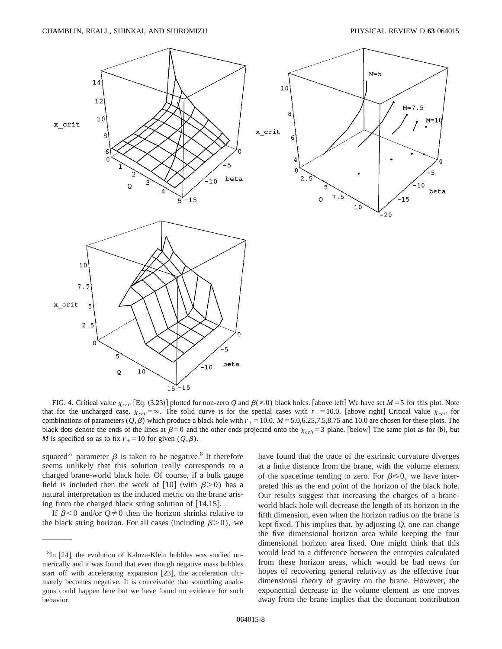

FIG. 4. Critical value  $\chi_{crit}$  [Eq. (3.23)] plotted for non-zero *Q* and  $\beta(\leq 0)$  black holes. [above left] We have set *M* = 5 for this plot. Note that for the uncharged case,  $\chi_{crit} = \infty$ . The solid curve is for the special cases with  $r_{+} = 10.0$ . [above right] Critical value  $\chi_{crit}$  for combinations of parameters  $(Q, \beta)$  which produce a black hole with  $r<sub>+</sub> = 10.0$ .  $M = 5.0,6.25,7.5,8.75$  and 10.0 are chosen for these plots. The black dots denote the ends of the lines at  $\beta=0$  and the other ends projected onto the  $\chi_{crit}=3$  plane. [below] The same plot as for (b), but *M* is specified so as to fix  $r_{+} = 10$  for given ( $Q, \beta$ ).

squared'' parameter  $\beta$  is taken to be negative.<sup>8</sup> It therefore seems unlikely that this solution really corresponds to a charged brane-world black hole. Of course, if a bulk gauge field is included then the work of [10] (with  $\beta$ >0) has a natural interpretation as the induced metric on the brane arising from the charged black string solution of  $[14,15]$ .

If  $\beta$ <0 and/or  $Q \neq 0$  then the horizon shrinks relative to the black string horizon. For all cases (including  $\beta$ >0), we have found that the trace of the extrinsic curvature diverges at a finite distance from the brane, with the volume element of the spacetime tending to zero. For  $\beta \le 0$ , we have interpreted this as the end point of the horizon of the black hole. Our results suggest that increasing the charges of a braneworld black hole will decrease the length of its horizon in the fifth dimension, even when the horizon radius on the brane is kept fixed. This implies that, by adjusting *Q*, one can change the five dimensional horizon area while keeping the four dimensional horizon area fixed. One might think that this would lead to a difference between the entropies calculated from these horizon areas, which would be bad news for hopes of recovering general relativity as the effective four dimensional theory of gravity on the brane. However, the exponential decrease in the volume element as one moves away from the brane implies that the dominant contribution

 ${}^{8}$ In [24], the evolution of Kaluza-Klein bubbles was studied numerically and it was found that even though negative mass bubbles start off with accelerating expansion  $[23]$ , the acceleration ultimately becomes negative. It is conceivable that something analogous could happen here but we have found no evidence for such behavior.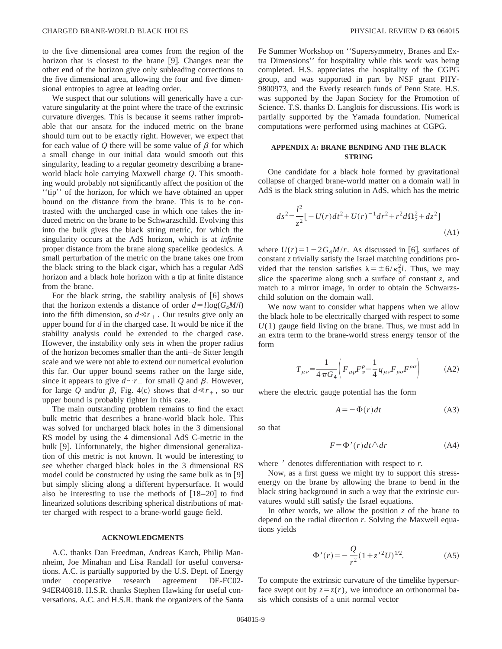to the five dimensional area comes from the region of the horizon that is closest to the brane  $[9]$ . Changes near the other end of the horizon give only subleading corrections to the five dimensional area, allowing the four and five dimensional entropies to agree at leading order.

We suspect that our solutions will generically have a curvature singularity at the point where the trace of the extrinsic curvature diverges. This is because it seems rather improbable that our ansatz for the induced metric on the brane should turn out to be exactly right. However, we expect that for each value of  $\ddot{\theta}$  there will be some value of  $\beta$  for which a small change in our initial data would smooth out this singularity, leading to a regular geometry describing a braneworld black hole carrying Maxwell charge *Q*. This smoothing would probably not significantly affect the position of the ''tip'' of the horizon, for which we have obtained an upper bound on the distance from the brane. This is to be contrasted with the uncharged case in which one takes the induced metric on the brane to be Schwarzschild. Evolving this into the bulk gives the black string metric, for which the singularity occurs at the AdS horizon, which is at *infinite* proper distance from the brane along spacelike geodesics. A small perturbation of the metric on the brane takes one from the black string to the black cigar, which has a regular AdS horizon and a black hole horizon with a tip at finite distance from the brane.

For the black string, the stability analysis of  $[6]$  shows that the horizon extends a distance of order  $d = l \log(G_4 M/l)$ into the fifth dimension, so  $d \ll r_{+}$ . Our results give only an upper bound for *d* in the charged case. It would be nice if the stability analysis could be extended to the charged case. However, the instability only sets in when the proper radius of the horizon becomes smaller than the anti–de Sitter length scale and we were not able to extend our numerical evolution this far. Our upper bound seems rather on the large side, since it appears to give  $d \sim r_+$  for small *Q* and  $\beta$ . However, for large *Q* and/or  $\beta$ , Fig. 4(c) shows that  $d \ll r_{+}$ , so our upper bound is probably tighter in this case.

The main outstanding problem remains to find the exact bulk metric that describes a brane-world black hole. This was solved for uncharged black holes in the 3 dimensional RS model by using the 4 dimensional AdS C-metric in the bulk [9]. Unfortunately, the higher dimensional generalization of this metric is not known. It would be interesting to see whether charged black holes in the 3 dimensional RS model could be constructed by using the same bulk as in  $[9]$ but simply slicing along a different hypersurface. It would also be interesting to use the methods of  $[18–20]$  to find linearized solutions describing spherical distributions of matter charged with respect to a brane-world gauge field.

### **ACKNOWLEDGMENTS**

A.C. thanks Dan Freedman, Andreas Karch, Philip Mannheim, Joe Minahan and Lisa Randall for useful conversations. A.C. is partially supported by the U.S. Dept. of Energy under cooperative research agreement DE-FC02- 94ER40818. H.S.R. thanks Stephen Hawking for useful conversations. A.C. and H.S.R. thank the organizers of the Santa Fe Summer Workshop on ''Supersymmetry, Branes and Extra Dimensions'' for hospitality while this work was being completed. H.S. appreciates the hospitality of the CGPG group, and was supported in part by NSF grant PHY-9800973, and the Everly research funds of Penn State. H.S. was supported by the Japan Society for the Promotion of Science. T.S. thanks D. Langlois for discussions. His work is partially supported by the Yamada foundation. Numerical computations were performed using machines at CGPG.

# **APPENDIX A: BRANE BENDING AND THE BLACK STRING**

One candidate for a black hole formed by gravitational collapse of charged brane-world matter on a domain wall in AdS is the black string solution in AdS, which has the metric

$$
ds^{2} = \frac{l^{2}}{z^{2}} \left[ -U(r)dt^{2} + U(r)^{-1}dr^{2} + r^{2}d\Omega_{2}^{2} + dz^{2} \right]
$$
\n(A1)

where  $U(r) = 1-2G<sub>4</sub>M/r$ . As discussed in [6], surfaces of constant *z* trivially satisfy the Israel matching conditions provided that the tension satisfies  $\lambda = \pm 6/\kappa_5^2 l$ . Thus, we may slice the spacetime along such a surface of constant *z*, and match to a mirror image, in order to obtain the Schwarzschild solution on the domain wall.

We now want to consider what happens when we allow the black hole to be electrically charged with respect to some  $U(1)$  gauge field living on the brane. Thus, we must add in an extra term to the brane-world stress energy tensor of the form

$$
T_{\mu\nu} = \frac{1}{4\pi G_4} \left( F_{\mu\rho} F^{\rho}_{\nu} - \frac{1}{4} q_{\mu\nu} F_{\rho\sigma} F^{\rho\sigma} \right) \tag{A2}
$$

where the electric gauge potential has the form

$$
A = -\Phi(r)dt
$$
 (A3)

so that

$$
F = \Phi'(r)dt \wedge dr \tag{A4}
$$

where  $\prime$  denotes differentiation with respect to  $r$ .

Now, as a first guess we might try to support this stressenergy on the brane by allowing the brane to bend in the black string background in such a way that the extrinsic curvatures would still satisfy the Israel equations.

In other words, we allow the position  $z$  of the brane to depend on the radial direction *r*. Solving the Maxwell equations yields

$$
\Phi'(r) = -\frac{Q}{r^2} (1 + z'^2 U)^{1/2}.
$$
 (A5)

To compute the extrinsic curvature of the timelike hypersurface swept out by  $z = z(r)$ , we introduce an orthonormal basis which consists of a unit normal vector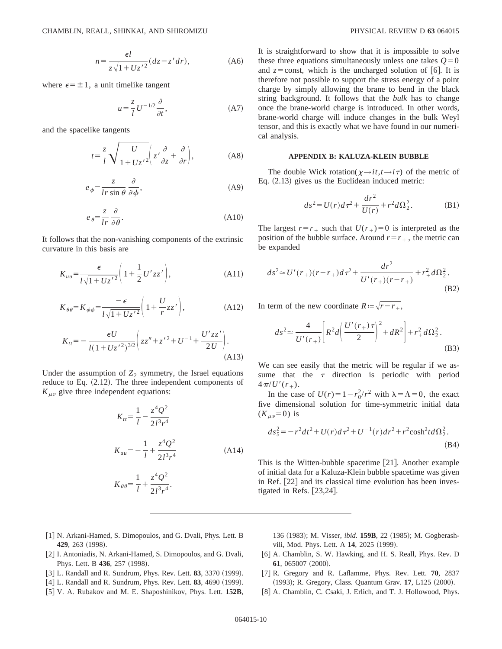$$
n = \frac{\epsilon l}{z\sqrt{1 + Uz'^2}}(dz - z'dr),\tag{A6}
$$

where  $\epsilon = \pm 1$ , a unit timelike tangent

$$
u = \frac{z}{l} U^{-1/2} \frac{\partial}{\partial t}, \tag{A7}
$$

and the spacelike tangents

$$
t = \frac{z}{l} \sqrt{\frac{U}{1 + U z'^2}} \left( z' \frac{\partial}{\partial z} + \frac{\partial}{\partial r} \right),
$$
 (A8)

$$
e_{\phi} = \frac{z}{lr \sin \theta} \frac{\partial}{\partial \phi},\tag{A9}
$$

$$
e_{\theta} = \frac{z}{lr} \frac{\partial}{\partial \theta}.
$$
 (A10)

It follows that the non-vanishing components of the extrinsic curvature in this basis are

$$
K_{uu} = \frac{\epsilon}{l\sqrt{1 + Uz'^2}} \left(1 + \frac{1}{2}U'zz'\right),\tag{A11}
$$

$$
K_{\theta\theta} = K_{\phi\phi} = \frac{-\epsilon}{l\sqrt{1 + Uz'^2}} \left(1 + \frac{U}{r}zz'\right),\tag{A12}
$$

$$
K_{tt} = -\frac{\epsilon U}{l(1 + Uz^{'2})^{3/2}} \left( zz'' + z'^{2} + U^{-1} + \frac{U'zz'}{2U} \right). \tag{A13}
$$

Under the assumption of  $Z_2$  symmetry, the Israel equations reduce to Eq.  $(2.12)$ . The three independent components of  $K_{\mu\nu}$  give three independent equations:

$$
K_{tt} = \frac{1}{l} - \frac{z^4 Q^2}{2l^3 r^4}
$$
  

$$
K_{uu} = -\frac{1}{l} + \frac{z^4 Q^2}{2l^3 r^4}
$$
 (A14)

$$
K_{\theta\theta} = \frac{1}{l} + \frac{z^4 Q^2}{2l^3 r^4}.
$$

It is straightforward to show that it is impossible to solve these three equations simultaneously unless one takes  $Q=0$ and  $z = const$ , which is the uncharged solution of [6]. It is therefore not possible to support the stress energy of a point charge by simply allowing the brane to bend in the black string background. It follows that the *bulk* has to change once the brane-world charge is introduced. In other words, brane-world charge will induce changes in the bulk Weyl tensor, and this is exactly what we have found in our numerical analysis.

## **APPENDIX B: KALUZA-KLEIN BUBBLE**

The double Wick rotation( $\chi \rightarrow it, t \rightarrow i\tau$ ) of the metric of Eq.  $(2.13)$  gives us the Euclidean induced metric:

$$
ds^{2} = U(r)d\tau^{2} + \frac{dr^{2}}{U(r)} + r^{2}d\Omega_{2}^{2}.
$$
 (B1)

The largest  $r=r_+$  such that  $U(r_+)=0$  is interpreted as the position of the bubble surface. Around  $r=r_{+}$ , the metric can be expanded

$$
ds^{2} \approx U'(r_{+})(r-r_{+})d\tau^{2} + \frac{dr^{2}}{U'(r_{+})(r-r_{+})} + r_{+}^{2}d\Omega_{2}^{2}.
$$
\n(B2)

In term of the new coordinate  $R = \sqrt{r - r_+}$ ,

$$
ds^{2} \approx \frac{4}{U'(r_{+})} \left[ R^{2} d \left( \frac{U'(r_{+}) \tau}{2} \right)^{2} + dR^{2} \right] + r_{+}^{2} d\Omega_{2}^{2}.
$$
\n(B3)

We can see easily that the metric will be regular if we assume that the  $\tau$  direction is periodic with period  $4\pi$ /*U'* $(r_{+})$ .

In the case of  $U(r) = 1 - r_0^2/r^2$  with  $\lambda = \Lambda = 0$ , the exact five dimensional solution for time-symmetric initial data  $(K_{\mu\nu}=0)$  is

$$
ds_5^2 = -r^2dt^2 + U(r)d\tau^2 + U^{-1}(r)dr^2 + r^2\cosh^2 t d\Omega_2^2.
$$
\n(B4)

This is the Witten-bubble spacetime [21]. Another example of initial data for a Kaluza-Klein bubble spacetime was given in Ref.  $[22]$  and its classical time evolution has been investigated in Refs.  $[23,24]$ .

- [1] N. Arkani-Hamed, S. Dimopoulos, and G. Dvali, Phys. Lett. B **429**, 263 (1998).
- [2] I. Antoniadis, N. Arkani-Hamed, S. Dimopoulos, and G. Dvali, Phys. Lett. B 436, 257 (1998).
- [3] L. Randall and R. Sundrum, Phys. Rev. Lett. **83**, 3370 (1999).
- [4] L. Randall and R. Sundrum, Phys. Rev. Lett. **83**, 4690 (1999).
- @5# V. A. Rubakov and M. E. Shaposhinikov, Phys. Lett. **152B**,

136 (1983); M. Visser, *ibid.* **159B**, 22 (1985); M. Gogberashvili, Mod. Phys. Lett. A 14, 2025 (1999).

- [6] A. Chamblin, S. W. Hawking, and H. S. Reall, Phys. Rev. D **61**, 065007 (2000).
- @7# R. Gregory and R. Laflamme, Phys. Rev. Lett. **70**, 2837 (1993); R. Gregory, Class. Quantum Grav. 17, L125 (2000).
- [8] A. Chamblin, C. Csaki, J. Erlich, and T. J. Hollowood, Phys.